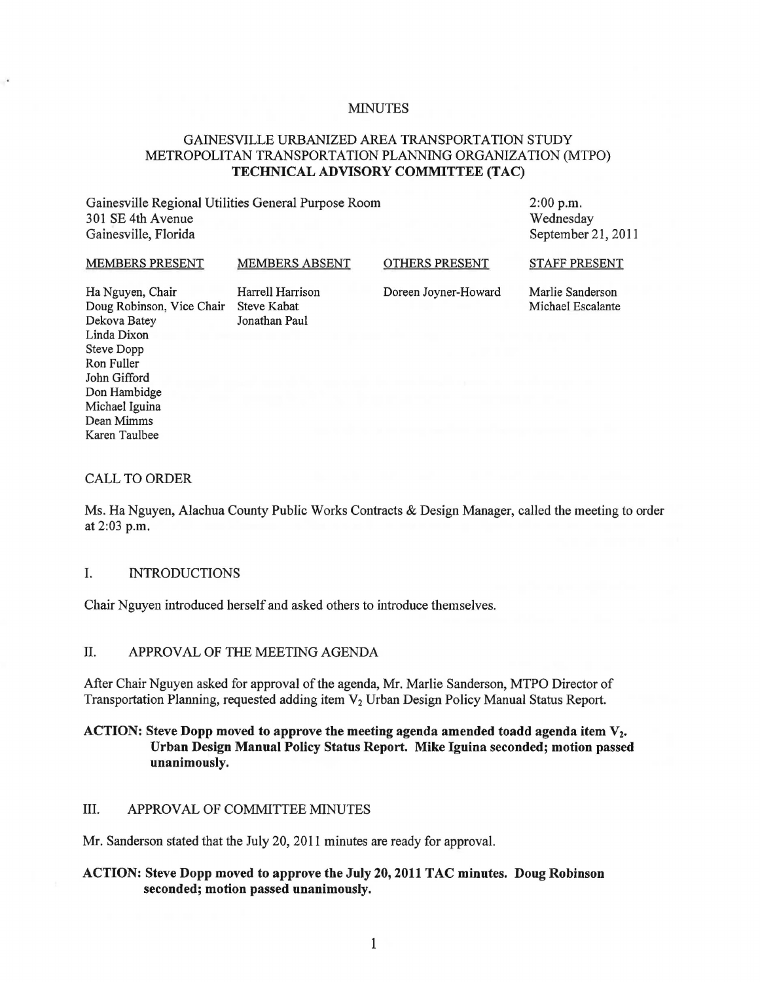#### **MINUTES**

# GAINESVILLE URBANIZED AREA TRANSPORTATION STUDY METROPOLITAN TRANSPORTATION PLANNING ORGANIZATION (MTPO) TECHNICAL ADVISORY COMMITTEE (TAC)

Gainesville Regional Utilities General Purpose Room 301 SE 4th Avenue Gainesville, Florida

2:00 p.m. Wednesday September 21, 2011

#### MEMBERS PRESENT MEMBERS ABSENT

OTHERS PRESENT

STAFF PRESENT

Ha Nguyen, Chair Harrell Harrison Doug Robinson, Vice Chair Steve Kabat Dekova Batey Jonathan Paul Linda Dixon Steve Dopp Ron Fuller John Gifford Don Hambidge Michael Iguina Dean Mimms Karen Taulbee

Doreen Joyner-Howard

Marlie Sanderson Michael Escalante

#### CALL TO ORDER

Ms. Ha Nguyen, Alachua County Public Works Contracts & Design Manager, called the meeting to order at 2:03 p.m.

## I. INTRODUCTIONS

Chair Nguyen introduced herself and asked others to introduce themselves.

## II. APPROVAL OF THE MEETING AGENDA

After Chair Nguyen asked for approval of the agenda, Mr. Marlie Sanderson, MTPO Director of Transportation Planning, requested adding item V<sub>2</sub> Urban Design Policy Manual Status Report.

## ACTION: Steve Dopp moved to approve the meeting agenda amended toadd agenda item  $V_2$ . Urban Design Manual Policy Status Report. Mike Iguina seconded; motion passed unanimously.

### III. APPROVAL OF COMMITTEE MINUTES

Mr. Sanderson stated that the July 20,2011 minutes are ready for approval.

## ACTION: Steve Dopp moved to approve the July 20,2011 TAC minutes. Doug Robinson seconded; motion passed unanimously.